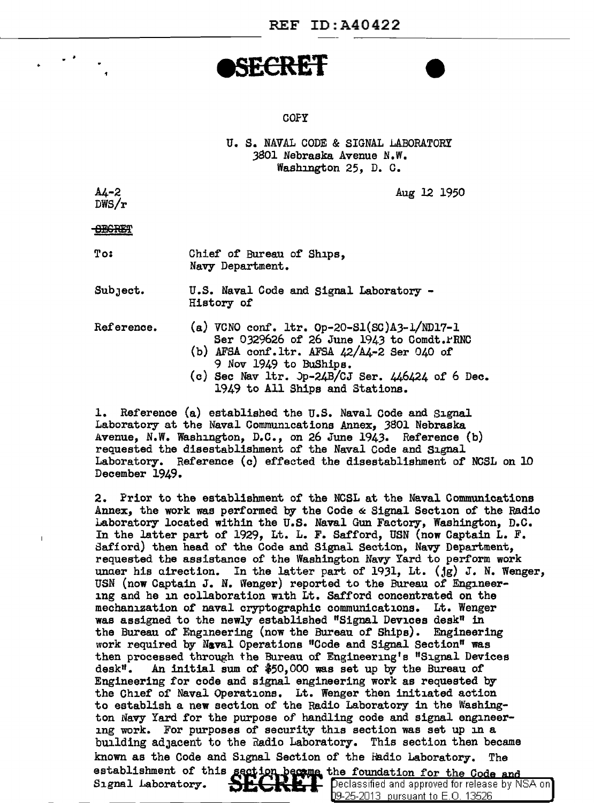### **I SECRET**

#### **COFY**

U. S. NAVAL CODE & SIGNAL LABORATORY 3801 Nebraska Avenue N.W. Washington 25, D. c.

 $A4 - 2$ DWS/r

 $\overline{\phantom{a}}$ .

Aug 12 1950

**SECRET** 

To:

Chief of Bureau of Ships, Navy Department.

SubJect. U.S. Naval Code and Signal Laboratory - History of

Reference.

- (a) VCNO conf. ltr. Op-20-Sl(SC)A3-l/ND17-l
	- Ser 0329626 of 26 June 1943 to Comdt. PRNC
	- (b) AFSA conf.ltr. AFSA  $42/\text{A}4-2$  Ser 040 of 9 Nov 1949 to BuShips.
	- $(c)$  Sec Nav ltr.  $Dp-24B/CJ$  Ser.  $446424$  of 6 Dec. 1949 to All Ships and Stations.

1. Reference (a) established the U.S. Naval Code and Signal Laboratory at the Naval Communications Annex, 3801 Nebraska Avenue, N.W. Washington, D.C., on 26 June 1943. Reference (b) requested the disestablishment of the Naval Code and Signal Laboratory. Reference (c) effected the disestablishment of NCSL on 10 December 1949.

2. Prior to the establishment of the NCSL at the Naval Communications Annex, the work was performed by the Code & Signal Section of the Radio Laboratory located within the U.S. Naval Gun Factory, Washington, D.C. In the latter part of 1929, Lt. L. F. Safford, USN (now Captain L. F. Safford) then head of the Code and Signal Section, Navy Department, requested the assistance of the Washington Navy Yard to perform work unaer his airection. In the latter part of 1931, Lt. (jg) J. N. Wenger, USN (now Captain J. N. Wenger) reported to the Bureau of Engineering and he in collaboration with Lt. Safford concentrated on the mechanization of naval cryptographic communications. Lt. Wenger was assigned to the newly established "Signal Devices desk" in the Bureau of Engineering (now the Bureau of Ships). Engineering work required by Naval Operations "Code and Signal Section" was then processed through the Bureau of Engineering's "Signal Devices desk". An initial sum of  $$50,000$  was set up by the Bureau of Engineering for code and signal engineering work as requested by the Chief of Naval Operations. Lt. Wenger then initiated action to establish a new section of the Radio Laboratory in the Washington Navy Yard for the purpose of handling code and signal engineering work. For purposes of security this section was set up in a building adJacent to the nadio Laboratory. This section then became known as the Code and Signal Section of the fadio Laboratory. The establishment of this section because the foundation for the Code and Signal Laboratory. SECREP Peclassified and approved for release by N

Declassified and approved for release by NSA on 09-25-2013 pursuant to E.O. 13526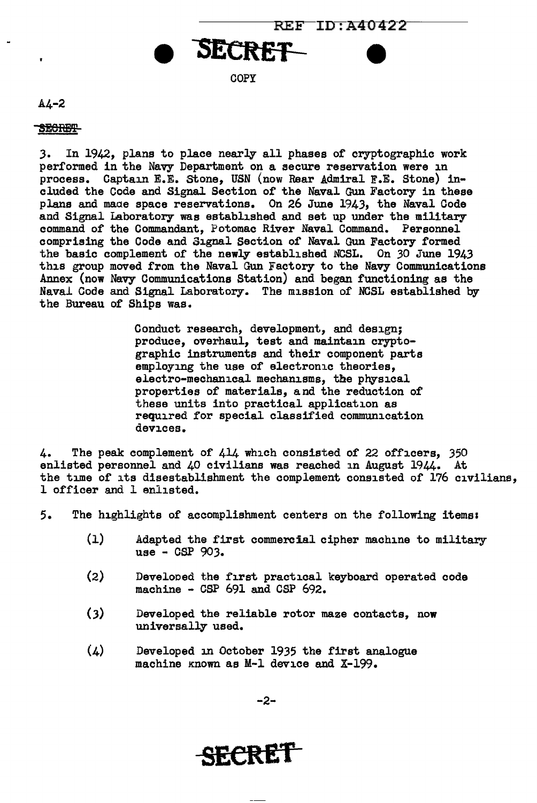

COPY

#### A4-2

 $\bullet$ 

#### **SECRET-**

*3.* In 1942, plans to place nearly all phases of cryptographic work performed in the Navy Department on a secure reservation were in process. Captain E.E. stone, USN (now Rear Admiral F.E. Stone) included the Code and Signal Section of the Naval Gun Factory in these plans and maae space reservations. On 26 June 1943, the Naval Code and Signal Laboratory was established and set up under the military command of the Commandant, Potomac River Naval Command. Personnel comprising the Code and Signal Section of Naval Gun Factory formed the basic complement of the newly established NCSL. On 30 June 1943 this group moved from the Naval Gun Factory to the Navy Communications Annex (now Navy Communications Station) and began functioning as the Naval Code and Signal Laboratory. The mission of NCSL established by the Bureau of Ships was.

> Conduct research, development, and design; produce, overhaul, test and maintain cryptographic instruments and their component parts employing the use of electronic theories. electro-mechanical mechanisms, the physical properties of materials, and the reduction of these units into practical application as required for special classified communication devices.

4. The peak complement of 414 which consisted of 22 officers, 350 enlisted personnel and 40 civilians was reached in August 1944. At the time of its disestablishment the complement consisted of 176 civilians, 1 officer and 1 enlisted.

5. The highlights of accomplishment centers on the following items&

- (1) Adapted the first commercial cipher machine to military use - CSP 903.
- (2) Develooed the first practical keyboard operated code machine - CSP 691 and CSP 692.
- (3) Developed the reliable rotor maze contacts, now universally used.
- $(4)$  Developed in October 1935 the first analogue machine Known as M-1 device and X-199.

-2-

# **SECRET**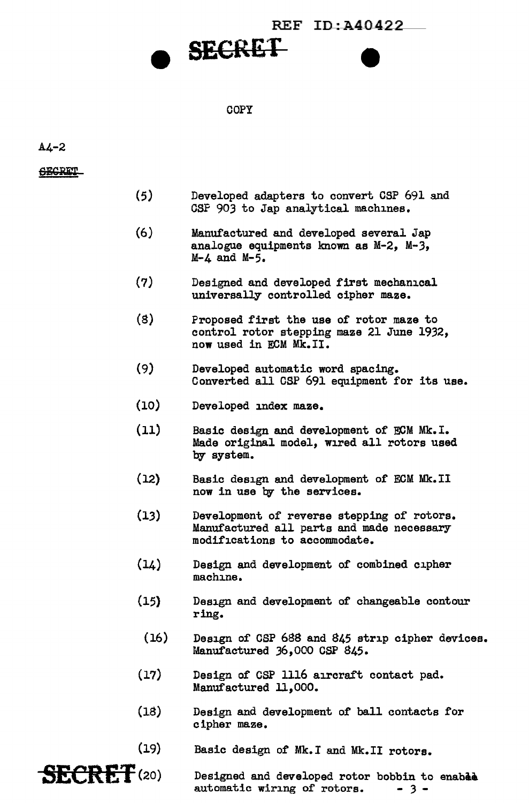### $REF$   $ID:$   $A40422$



#### COPY

#### A4-2

**SECRET** 

- (5) Developed adapters to convert CSP 691 and GSP 903 to Jap analytical machines.
- (6) Manufactured and developed several Jap analogue equipments known as M-2, M-3, M-4 and M-5.
- (7) Designed and developed first mechanical universally controlled cipher maze.
- (S) Proposed first the use of rotor maze to control rotor stepping maze 21 June 1932, now used in ECM Mk.II.
- (9) Developed automatic word spacing. Converted all CSP 691 equipment for its use.
- (10) Developed index maze.
- (11) Basic design and development of ECM Mk.I. Made original model, wired all rotors used by system.
- $(12)$ Basic design and development of ECM Mk.II now in use by the services.
- (13) Development of reverse stepping of rotors. Manufactured all parts and made necessary modifications to accommodate.
- $(14)$ Design and development of combined cipher machine.
- (15) Design and development of changeable contour ring.
- (16) Design of CSP 688 and 845 strip cipher devices. Manufactured J6,000 CSP S45.
- (17) Design of CSP 1116 aircraft contact pad. Manufactured 11,000.
- (18) Design and development of ball contacts for cipher maze.
- (19) Basic design of Mk.I and Mk.II rotors.

**SECRET**(20) Designed and developed rotor bobbin to enable automatic wiring of rotors.  $-3$  automatic wiring of rotors.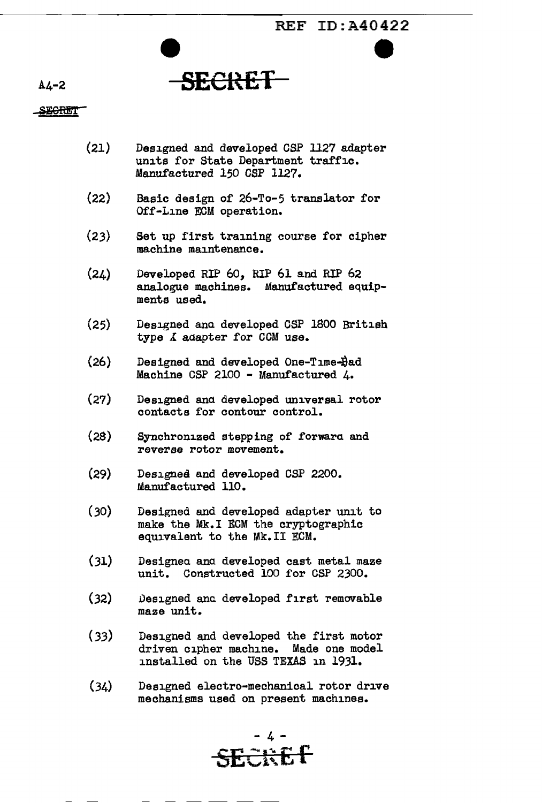## A4-2 **SECltET**

### **SEGRET**

- (21) Designed and developed CSP 1127 adapter units for State Department traffic. Manufactured 150 CSP 1127.
- (22) Basic design of 26-To-5 translator for Off-Line ECM operation.
- (23) Set up first training course for cipher machine maintenance.
- (24) Developed RIP 60, RIP 61 and RIP 62 analogue machines. Manufactured equipments used.
- (25) Designed ana developed CSP 1800 British type  $\Lambda$  adapter for CCM use.
- $(26)$  Designed and developed One-Time- $\frac{1}{2}$ ad Machine CSP 2100 - Manufactured 4.
- (27) Designed and developed universal rotor contacts for contour control.
- (28) Synchronized stepping of forwara and reverse rotor movement.
- (29) Designed and developed CSP 2200. Manufactured 110.
- (30) Designed and developed adapter unit to make the Mk.I ECM the cryptographic equivalent to the Mk.II ECM.
- (31) Designea ana developed cast metal maze unit. Constructed 100 for CSP 2300.
- (32) Designed and developed first removable maze unit.
- (33) Designed and developed the first motor driven cipher machine. Made one model installed on the USS TEXAS in 1931.
- (34) Designed electro-mechanical rotor drive mechanisms used on present machines.

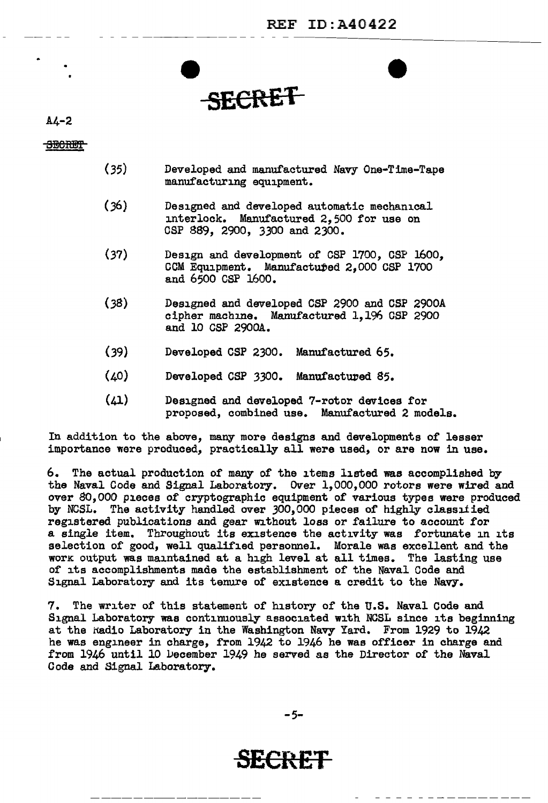**SECRET** 

 $AL-2$ 

SECRET<sup>-</sup>

- (35) Developed and manufactured Navy One-Time-Tape manufacturing equipment.
- (36) Designed and developed automatic mechanical interlock. Manufactured 2,500 for use on CSP 889, 2900, 3300 and 2300.
- (37) Design and development of CSP 1700, CSP 1600, CCM Equipment. Manufactured 2,000 CSP 1700 and 6500 CSP 1600.
- (38) Designed and developed CSP 2900 and CSP 2900A cipher machine. Manufactured 1,196 CSP 2900 and 10 CSP 2900A.
- (39) Developed CSP 2300. Manufactured 65.
- (40) Developed CSP 3300. Manufactured 85.
- (41) Designed and developed 7-rotor devices for proposed, combined use. Manufactured 2 models.

In addition to the above, many more designs and developments of lesser importance were produced, practically all were used, or are now in use.

6. The actual production of many of the items listed was accomplished by the Naval Code and Signal Laboratory. Over l,000,000 rotors were wired and over *80,000* pieces of cryptographic equipment of various types were produced by NCSL. The activity handled over J00,000 pieces of highly classified registered publications and gear without loss or failure to account for a single item. Throughout its existence the activity was fortunate in its selection of good, well qualified personnel. Morale was excellent and the work output was maintained at a high level at all times. The lasting use of its accomplishments made the establishment of the Naval Code and Signal Laboratory and its tenure of existence a credit to the Navy.

7. The writer of this statement of history of the U.S. Naval Code and Signal Laboratory was continuously associated with NCSL since its beginning at the Radio Laboratory in the Washington Navy Yard. From 1929 to 1942 he was engineer in charge, from 1942 to 1946 he was officer in charge and from 1946 until 10 vecember 1949 he served as the Director of the Naval Code and Signal Laboratory.

*-5-*

**SECRET**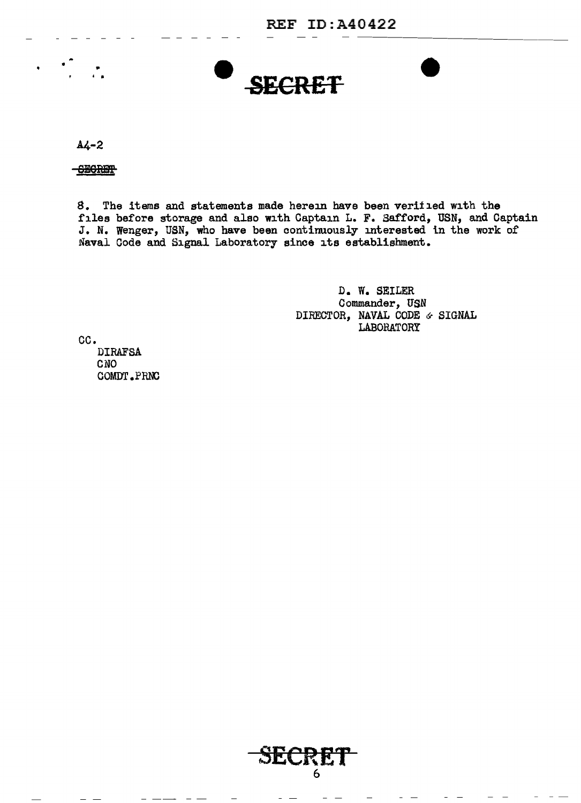# I 0 **e** SECRET

 $A4-2$ 

•

**CEGRET** 

•

8. The items and statements made herein have been verified with the files before storage and also with Captain L. F. Safford, USN, and Captain J. N. Wenger, USN, who have been continuously interested ln the work of Naval Code and Signal Laboratory since its establishment.

> D. *Vi.* SEILER Commander, USN DIRECTOR, NAVAL CODE  $\circ$  SIGNAL **LABORATORY**

cc.

**DIRAFSA** CNO COMDT.PRNC